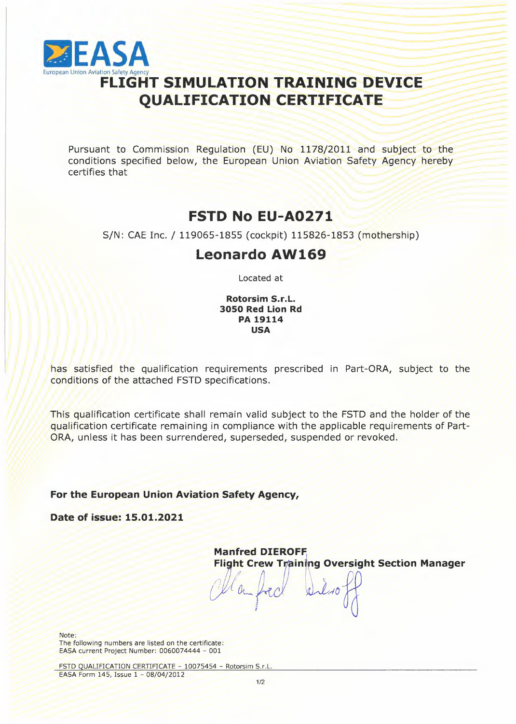

# **FLIGHT SIMULATION TRAINING DEVICE QUALIFICATION CERTIFICATE**

Pursuant to Commission Regulation (EU) No 1178/2011 and subject to the conditions specified below, the European Union Aviation Safety Agency hereby certifies that

## **FSTD No EU-A0271**

S/N: CAE Inc. /119065-1855 (cockpit) 115826-1853 (mothership)

## **Leonardo AW169**

Located at

**Rotorsim S.r.L. 3050 Red Lion Rd PA 19114 USA**

has satisfied the qualification requirements prescribed in Part-ORA, subject to the conditions of the attached FSTD specifications.

// This qualification certificate shall remain valid subject to the FSTD and the holder of the This qualification certificate shall remain valid subject to the FSTD and the holder of the<br>qualification certificate remaining in compliance with the applicable requirements of Partqualification certificate remaining in compliance with the applicable requirements of Part-<br>ORA, unless it has been surrendered, superseded, suspended or revoked.

**For the European Union Aviation Safety Agency,**

**Date of issue: 15.01.2021**

**Manfred DIEROFF**

Flight Crew Training Oversight Section Manager<br>
2.2.10 **J**  $\alpha$ *1 [* 11 *]*

Note:

The following numbers are listed on the certificate: EASA current Project Number: 0060074444 - 001

FSTD QUALIFICATION CERTIFICATE - 10075454 - Rotorsim S.r.L. EASA Form 145, Issue 1 - 08/04/2012